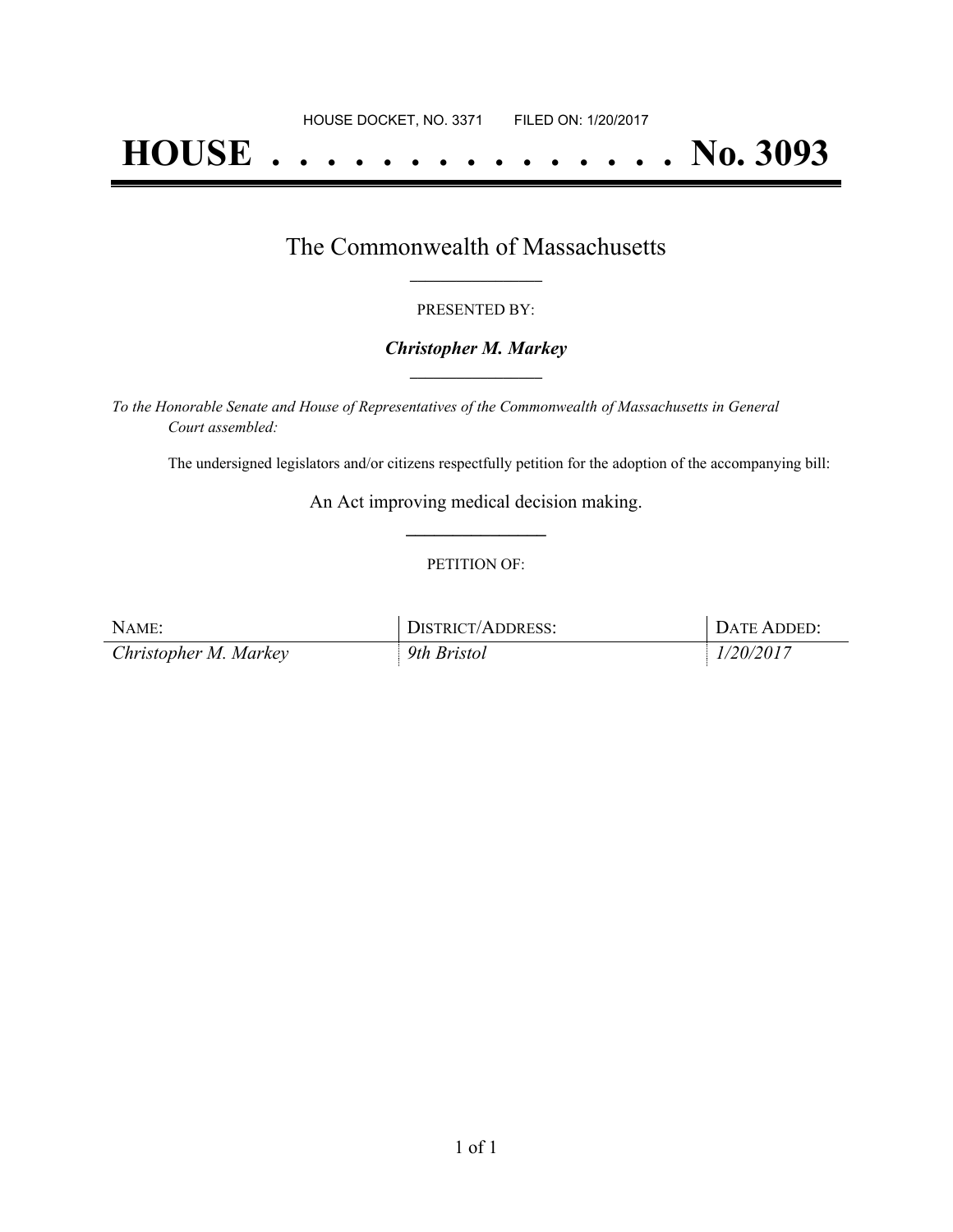# **HOUSE . . . . . . . . . . . . . . . No. 3093**

### The Commonwealth of Massachusetts **\_\_\_\_\_\_\_\_\_\_\_\_\_\_\_\_\_**

#### PRESENTED BY:

#### *Christopher M. Markey* **\_\_\_\_\_\_\_\_\_\_\_\_\_\_\_\_\_**

*To the Honorable Senate and House of Representatives of the Commonwealth of Massachusetts in General Court assembled:*

The undersigned legislators and/or citizens respectfully petition for the adoption of the accompanying bill:

An Act improving medical decision making. **\_\_\_\_\_\_\_\_\_\_\_\_\_\_\_**

#### PETITION OF:

| NAME:                 | DISTRICT/ADDRESS: | DATE ADDED: |
|-----------------------|-------------------|-------------|
| Christopher M. Markey | 9th Bristol       | 1/20/2017   |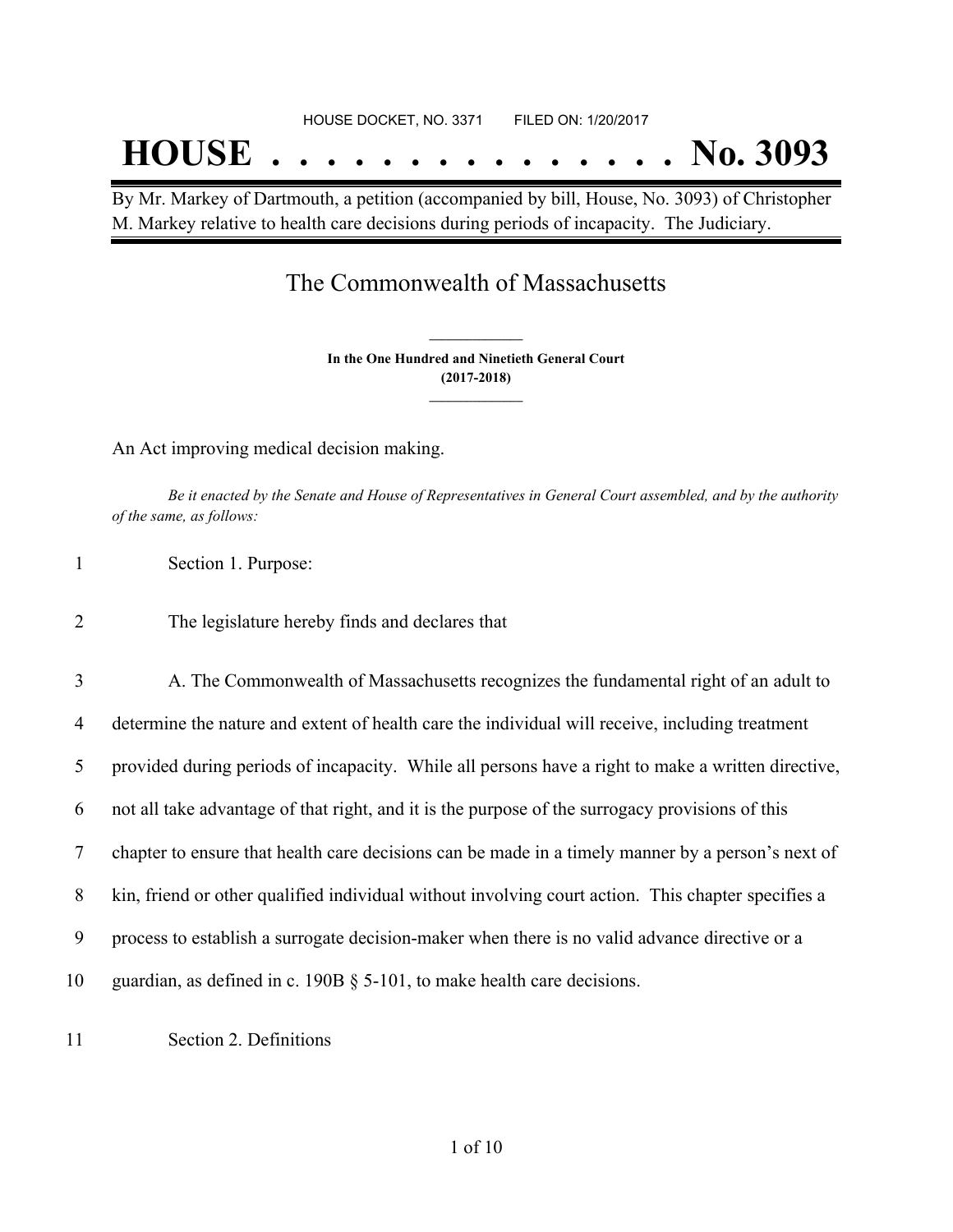# HOUSE DOCKET, NO. 3371 FILED ON: 1/20/2017 **HOUSE . . . . . . . . . . . . . . . No. 3093**

By Mr. Markey of Dartmouth, a petition (accompanied by bill, House, No. 3093) of Christopher M. Markey relative to health care decisions during periods of incapacity. The Judiciary.

## The Commonwealth of Massachusetts

**In the One Hundred and Ninetieth General Court (2017-2018) \_\_\_\_\_\_\_\_\_\_\_\_\_\_\_**

**\_\_\_\_\_\_\_\_\_\_\_\_\_\_\_**

An Act improving medical decision making.

Be it enacted by the Senate and House of Representatives in General Court assembled, and by the authority *of the same, as follows:*

| Section 1. Purpose: |  |
|---------------------|--|
|                     |  |

2 The legislature hereby finds and declares that

 A. The Commonwealth of Massachusetts recognizes the fundamental right of an adult to determine the nature and extent of health care the individual will receive, including treatment provided during periods of incapacity. While all persons have a right to make a written directive, not all take advantage of that right, and it is the purpose of the surrogacy provisions of this chapter to ensure that health care decisions can be made in a timely manner by a person's next of kin, friend or other qualified individual without involving court action. This chapter specifies a process to establish a surrogate decision-maker when there is no valid advance directive or a guardian, as defined in c. 190B § 5-101, to make health care decisions.

11 Section 2. Definitions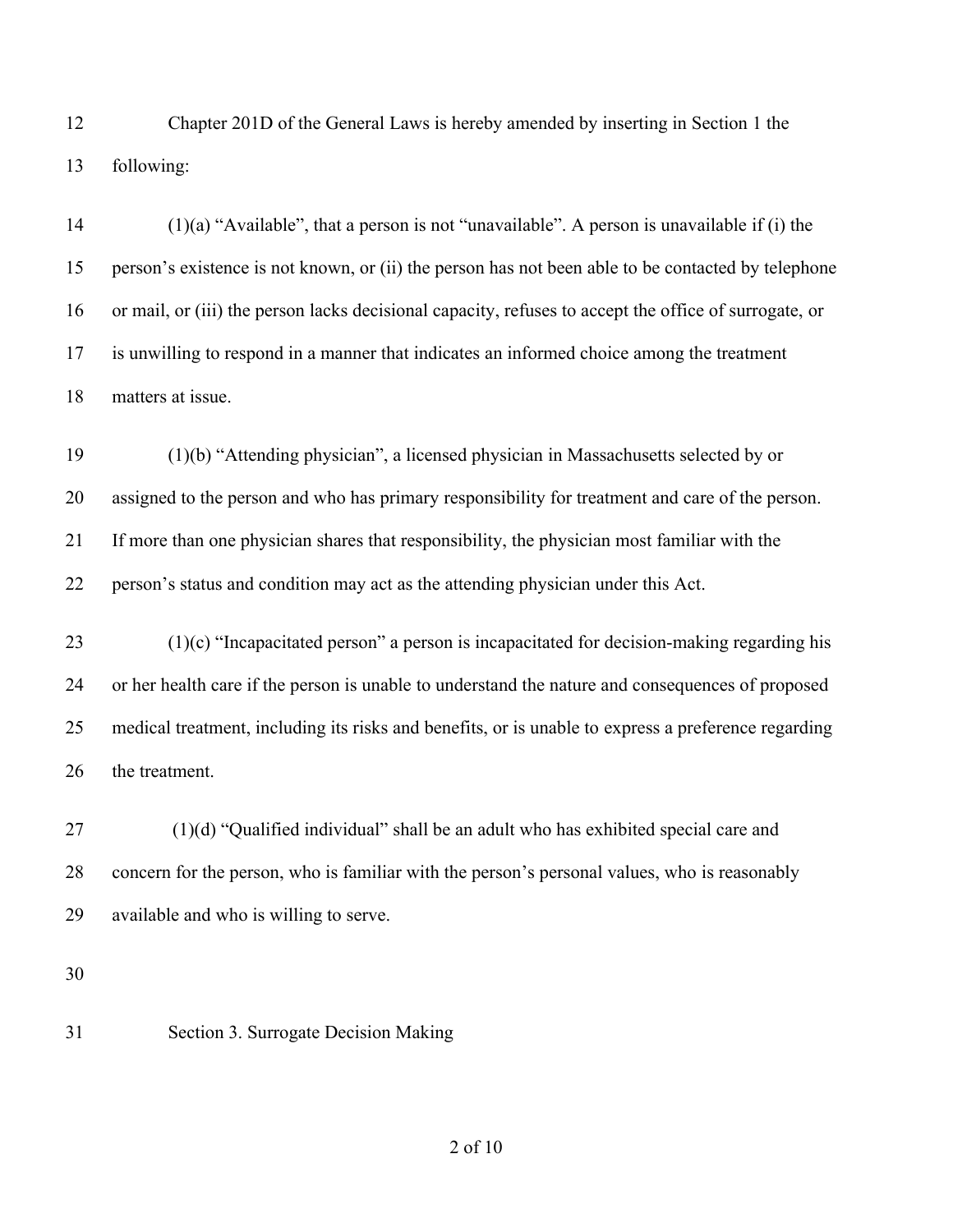Chapter 201D of the General Laws is hereby amended by inserting in Section 1 the following:

14 (1)(a) "Available", that a person is not "unavailable". A person is unavailable if (i) the person's existence is not known, or (ii) the person has not been able to be contacted by telephone or mail, or (iii) the person lacks decisional capacity, refuses to accept the office of surrogate, or is unwilling to respond in a manner that indicates an informed choice among the treatment matters at issue.

 (1)(b) "Attending physician", a licensed physician in Massachusetts selected by or assigned to the person and who has primary responsibility for treatment and care of the person. If more than one physician shares that responsibility, the physician most familiar with the person's status and condition may act as the attending physician under this Act.

 (1)(c) "Incapacitated person" a person is incapacitated for decision-making regarding his or her health care if the person is unable to understand the nature and consequences of proposed medical treatment, including its risks and benefits, or is unable to express a preference regarding the treatment.

 (1)(d) "Qualified individual" shall be an adult who has exhibited special care and concern for the person, who is familiar with the person's personal values, who is reasonably available and who is willing to serve.

Section 3. Surrogate Decision Making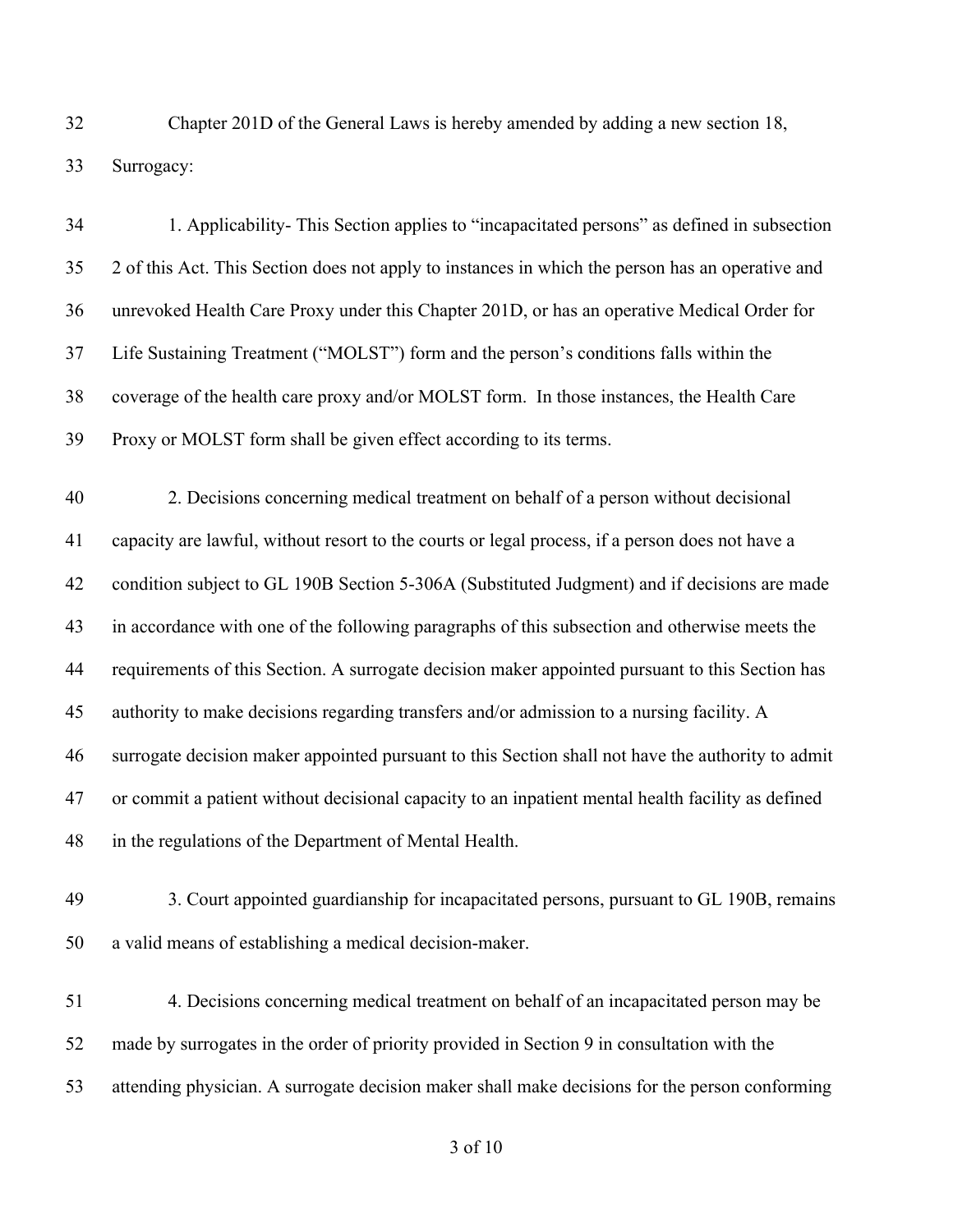Chapter 201D of the General Laws is hereby amended by adding a new section 18, Surrogacy:

 1. Applicability- This Section applies to "incapacitated persons" as defined in subsection 2 of this Act. This Section does not apply to instances in which the person has an operative and unrevoked Health Care Proxy under this Chapter 201D, or has an operative Medical Order for Life Sustaining Treatment ("MOLST") form and the person's conditions falls within the coverage of the health care proxy and/or MOLST form. In those instances, the Health Care Proxy or MOLST form shall be given effect according to its terms.

 2. Decisions concerning medical treatment on behalf of a person without decisional capacity are lawful, without resort to the courts or legal process, if a person does not have a condition subject to GL 190B Section 5-306A (Substituted Judgment) and if decisions are made in accordance with one of the following paragraphs of this subsection and otherwise meets the requirements of this Section. A surrogate decision maker appointed pursuant to this Section has authority to make decisions regarding transfers and/or admission to a nursing facility. A surrogate decision maker appointed pursuant to this Section shall not have the authority to admit or commit a patient without decisional capacity to an inpatient mental health facility as defined in the regulations of the Department of Mental Health.

 3. Court appointed guardianship for incapacitated persons, pursuant to GL 190B, remains a valid means of establishing a medical decision-maker.

 4. Decisions concerning medical treatment on behalf of an incapacitated person may be made by surrogates in the order of priority provided in Section 9 in consultation with the attending physician. A surrogate decision maker shall make decisions for the person conforming

of 10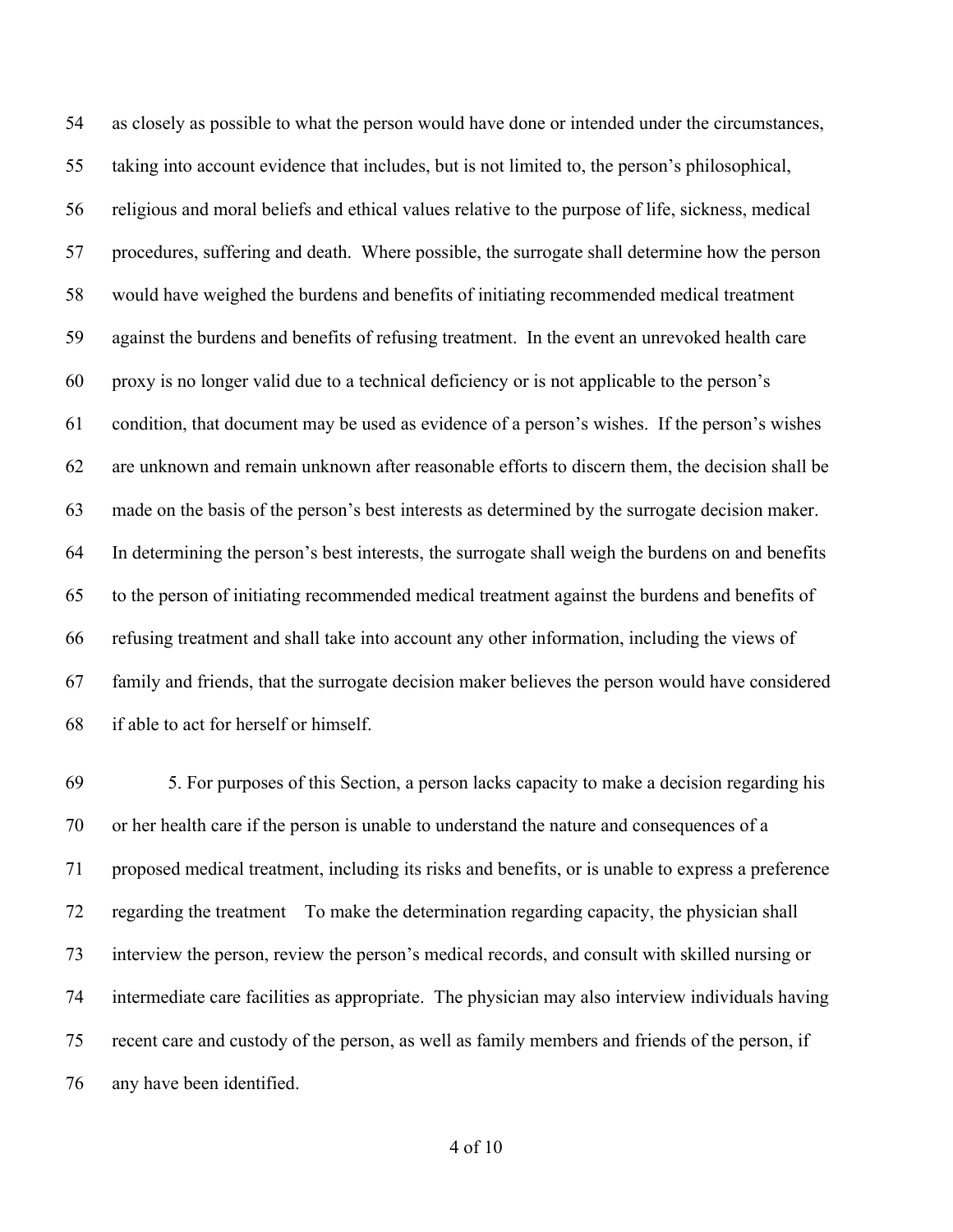as closely as possible to what the person would have done or intended under the circumstances, taking into account evidence that includes, but is not limited to, the person's philosophical, religious and moral beliefs and ethical values relative to the purpose of life, sickness, medical procedures, suffering and death. Where possible, the surrogate shall determine how the person would have weighed the burdens and benefits of initiating recommended medical treatment against the burdens and benefits of refusing treatment. In the event an unrevoked health care proxy is no longer valid due to a technical deficiency or is not applicable to the person's condition, that document may be used as evidence of a person's wishes. If the person's wishes are unknown and remain unknown after reasonable efforts to discern them, the decision shall be made on the basis of the person's best interests as determined by the surrogate decision maker. In determining the person's best interests, the surrogate shall weigh the burdens on and benefits to the person of initiating recommended medical treatment against the burdens and benefits of refusing treatment and shall take into account any other information, including the views of family and friends, that the surrogate decision maker believes the person would have considered if able to act for herself or himself.

 5. For purposes of this Section, a person lacks capacity to make a decision regarding his or her health care if the person is unable to understand the nature and consequences of a proposed medical treatment, including its risks and benefits, or is unable to express a preference regarding the treatment To make the determination regarding capacity, the physician shall interview the person, review the person's medical records, and consult with skilled nursing or intermediate care facilities as appropriate. The physician may also interview individuals having recent care and custody of the person, as well as family members and friends of the person, if any have been identified.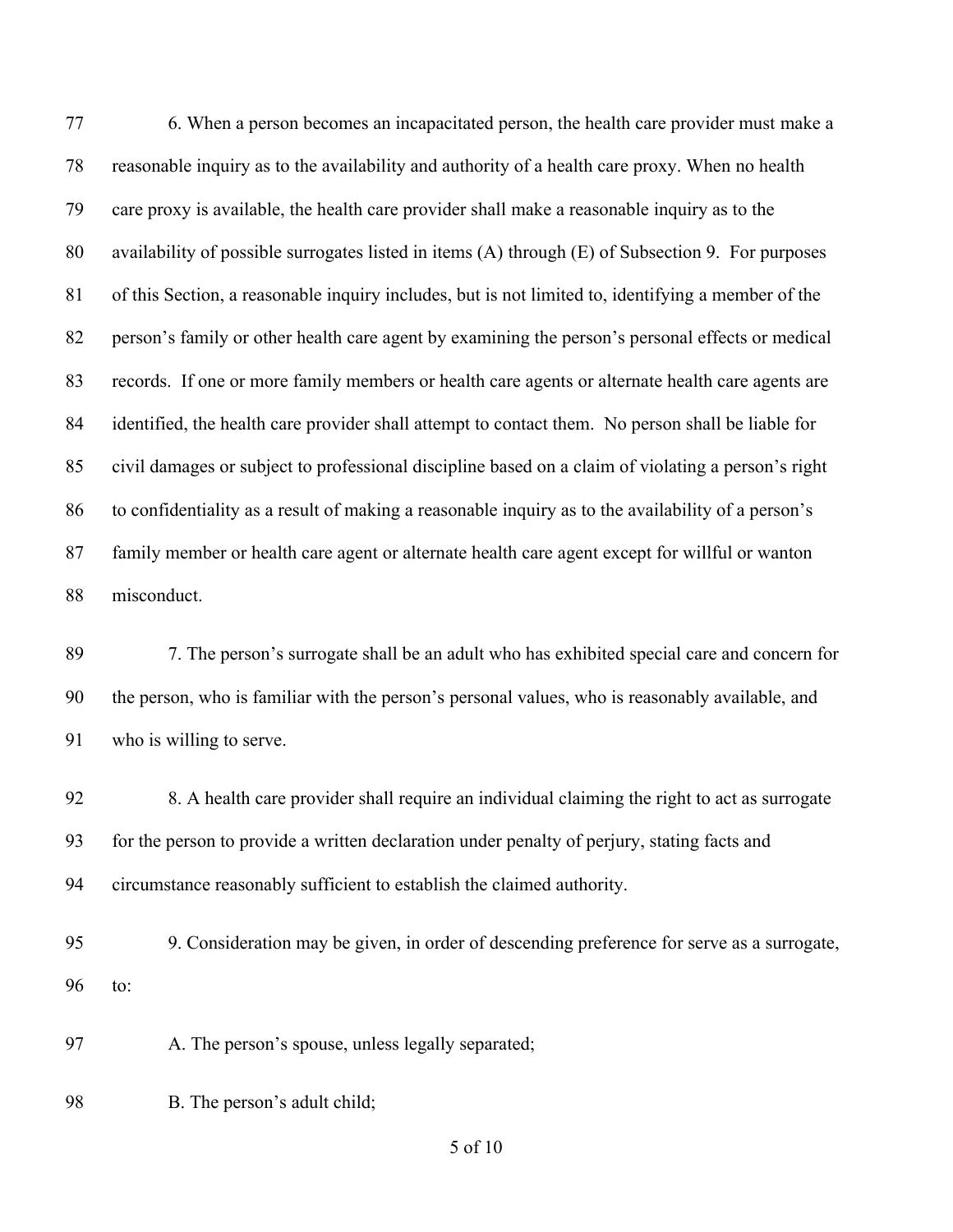6. When a person becomes an incapacitated person, the health care provider must make a reasonable inquiry as to the availability and authority of a health care proxy. When no health care proxy is available, the health care provider shall make a reasonable inquiry as to the availability of possible surrogates listed in items (A) through (E) of Subsection 9. For purposes of this Section, a reasonable inquiry includes, but is not limited to, identifying a member of the person's family or other health care agent by examining the person's personal effects or medical records. If one or more family members or health care agents or alternate health care agents are identified, the health care provider shall attempt to contact them. No person shall be liable for civil damages or subject to professional discipline based on a claim of violating a person's right to confidentiality as a result of making a reasonable inquiry as to the availability of a person's family member or health care agent or alternate health care agent except for willful or wanton misconduct.

 7. The person's surrogate shall be an adult who has exhibited special care and concern for the person, who is familiar with the person's personal values, who is reasonably available, and who is willing to serve.

 8. A health care provider shall require an individual claiming the right to act as surrogate for the person to provide a written declaration under penalty of perjury, stating facts and circumstance reasonably sufficient to establish the claimed authority.

 9. Consideration may be given, in order of descending preference for serve as a surrogate, to:

97 A. The person's spouse, unless legally separated;

98 B. The person's adult child;

of 10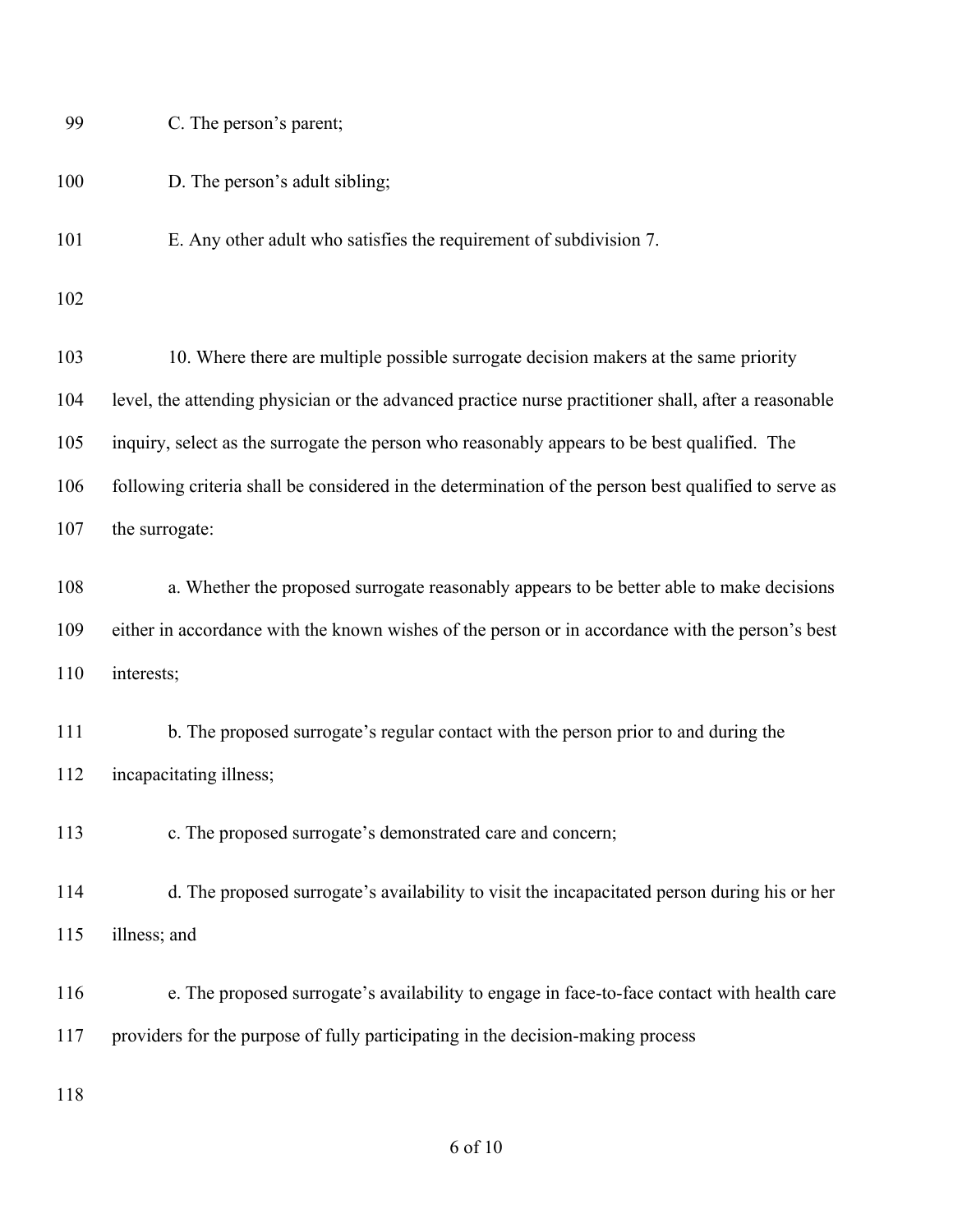| 100        | D. The person's adult sibling;                                                                                                                                                               |
|------------|----------------------------------------------------------------------------------------------------------------------------------------------------------------------------------------------|
| 101        | E. Any other adult who satisfies the requirement of subdivision 7.                                                                                                                           |
| 102        |                                                                                                                                                                                              |
| 103        | 10. Where there are multiple possible surrogate decision makers at the same priority                                                                                                         |
| 104        | level, the attending physician or the advanced practice nurse practitioner shall, after a reasonable                                                                                         |
| 105        | inquiry, select as the surrogate the person who reasonably appears to be best qualified. The                                                                                                 |
| 106        | following criteria shall be considered in the determination of the person best qualified to serve as                                                                                         |
| 107        | the surrogate:                                                                                                                                                                               |
| 108<br>109 | a. Whether the proposed surrogate reasonably appears to be better able to make decisions<br>either in accordance with the known wishes of the person or in accordance with the person's best |
| 110        | interests;                                                                                                                                                                                   |
| 111        | b. The proposed surrogate's regular contact with the person prior to and during the                                                                                                          |
| 112        | incapacitating illness;                                                                                                                                                                      |
| 113        | c. The proposed surrogate's demonstrated care and concern;                                                                                                                                   |
| 114        | d. The proposed surrogate's availability to visit the incapacitated person during his or her                                                                                                 |
| 115        | illness; and                                                                                                                                                                                 |
| 116        | e. The proposed surrogate's availability to engage in face-to-face contact with health care                                                                                                  |
| 117        | providers for the purpose of fully participating in the decision-making process                                                                                                              |
| 118        |                                                                                                                                                                                              |

C. The person's parent;

## of 10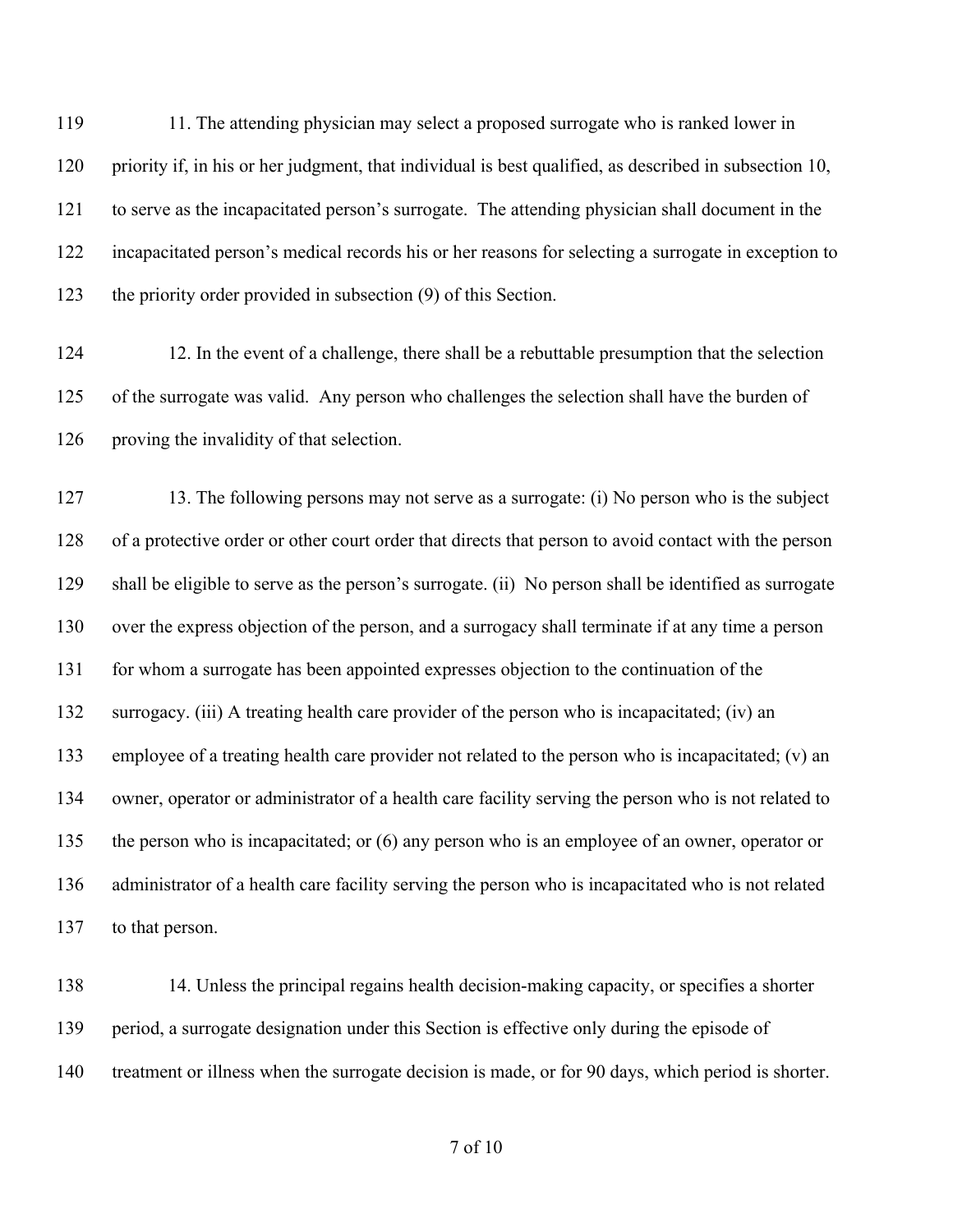119 11. The attending physician may select a proposed surrogate who is ranked lower in priority if, in his or her judgment, that individual is best qualified, as described in subsection 10, to serve as the incapacitated person's surrogate. The attending physician shall document in the incapacitated person's medical records his or her reasons for selecting a surrogate in exception to the priority order provided in subsection (9) of this Section.

 12. In the event of a challenge, there shall be a rebuttable presumption that the selection of the surrogate was valid. Any person who challenges the selection shall have the burden of proving the invalidity of that selection.

 13. The following persons may not serve as a surrogate: (i) No person who is the subject of a protective order or other court order that directs that person to avoid contact with the person shall be eligible to serve as the person's surrogate. (ii) No person shall be identified as surrogate over the express objection of the person, and a surrogacy shall terminate if at any time a person for whom a surrogate has been appointed expresses objection to the continuation of the surrogacy. (iii) A treating health care provider of the person who is incapacitated; (iv) an employee of a treating health care provider not related to the person who is incapacitated; (v) an owner, operator or administrator of a health care facility serving the person who is not related to the person who is incapacitated; or (6) any person who is an employee of an owner, operator or administrator of a health care facility serving the person who is incapacitated who is not related to that person.

 14. Unless the principal regains health decision-making capacity, or specifies a shorter period, a surrogate designation under this Section is effective only during the episode of treatment or illness when the surrogate decision is made, or for 90 days, which period is shorter.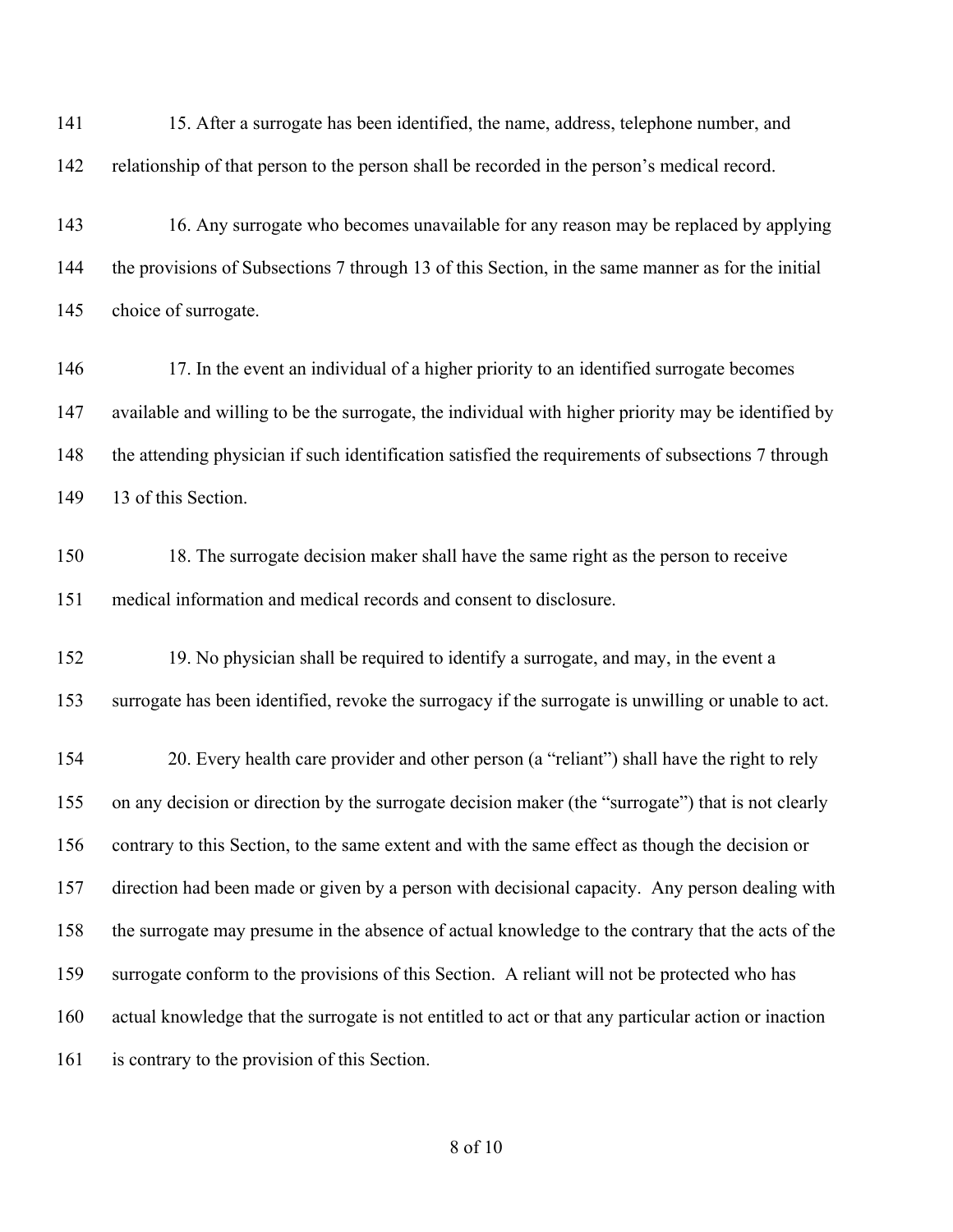15. After a surrogate has been identified, the name, address, telephone number, and relationship of that person to the person shall be recorded in the person's medical record.

 16. Any surrogate who becomes unavailable for any reason may be replaced by applying the provisions of Subsections 7 through 13 of this Section, in the same manner as for the initial choice of surrogate.

146 17. In the event an individual of a higher priority to an identified surrogate becomes available and willing to be the surrogate, the individual with higher priority may be identified by the attending physician if such identification satisfied the requirements of subsections 7 through 149 13 of this Section.

 18. The surrogate decision maker shall have the same right as the person to receive medical information and medical records and consent to disclosure.

 19. No physician shall be required to identify a surrogate, and may, in the event a surrogate has been identified, revoke the surrogacy if the surrogate is unwilling or unable to act.

 20. Every health care provider and other person (a "reliant") shall have the right to rely on any decision or direction by the surrogate decision maker (the "surrogate") that is not clearly contrary to this Section, to the same extent and with the same effect as though the decision or direction had been made or given by a person with decisional capacity. Any person dealing with the surrogate may presume in the absence of actual knowledge to the contrary that the acts of the surrogate conform to the provisions of this Section. A reliant will not be protected who has actual knowledge that the surrogate is not entitled to act or that any particular action or inaction is contrary to the provision of this Section.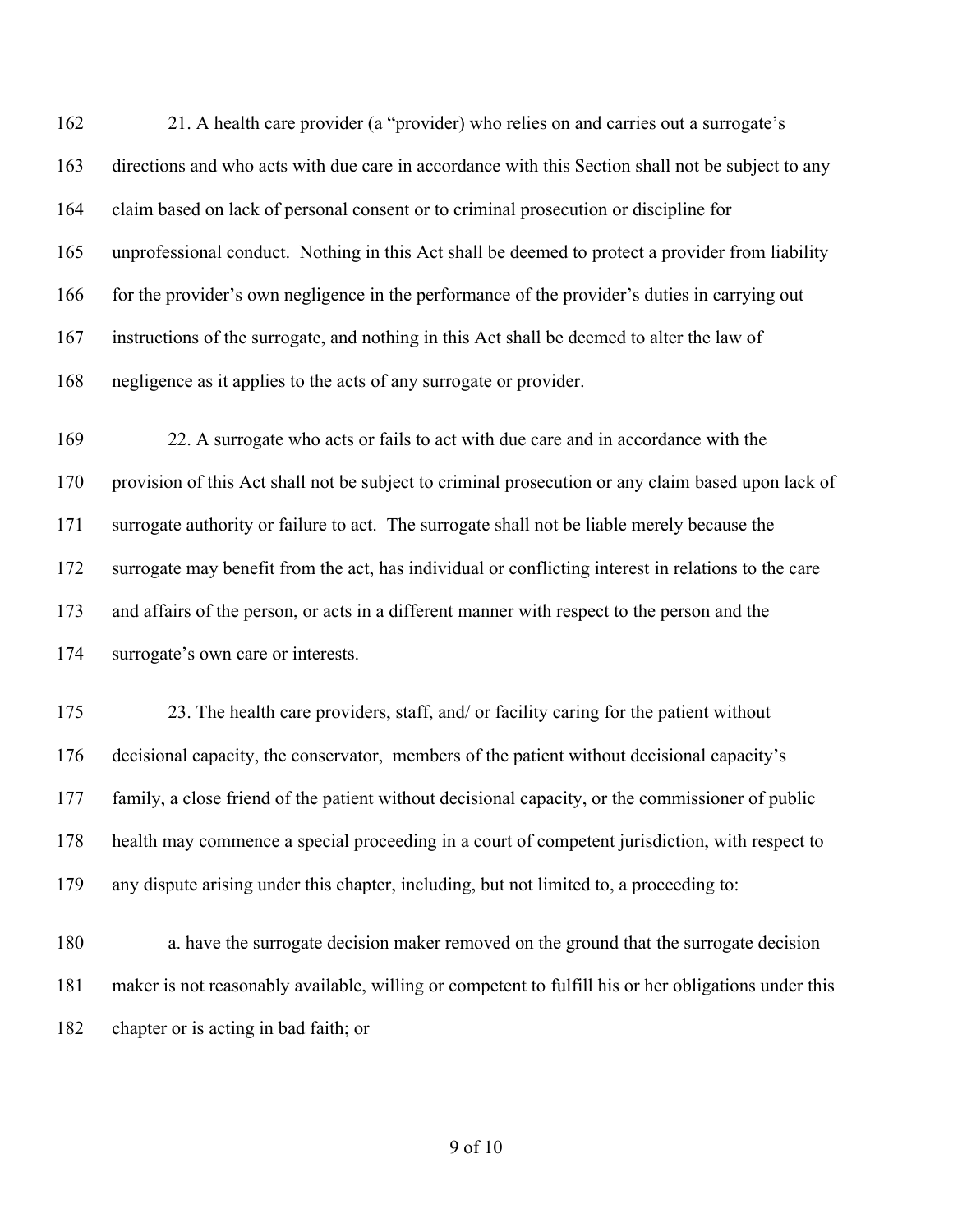21. A health care provider (a "provider) who relies on and carries out a surrogate's directions and who acts with due care in accordance with this Section shall not be subject to any claim based on lack of personal consent or to criminal prosecution or discipline for unprofessional conduct. Nothing in this Act shall be deemed to protect a provider from liability 166 for the provider's own negligence in the performance of the provider's duties in carrying out instructions of the surrogate, and nothing in this Act shall be deemed to alter the law of negligence as it applies to the acts of any surrogate or provider.

 22. A surrogate who acts or fails to act with due care and in accordance with the provision of this Act shall not be subject to criminal prosecution or any claim based upon lack of surrogate authority or failure to act. The surrogate shall not be liable merely because the surrogate may benefit from the act, has individual or conflicting interest in relations to the care and affairs of the person, or acts in a different manner with respect to the person and the surrogate's own care or interests.

175 23. The health care providers, staff, and/ or facility caring for the patient without decisional capacity, the conservator, members of the patient without decisional capacity's family, a close friend of the patient without decisional capacity, or the commissioner of public health may commence a special proceeding in a court of competent jurisdiction, with respect to any dispute arising under this chapter, including, but not limited to, a proceeding to:

 a. have the surrogate decision maker removed on the ground that the surrogate decision maker is not reasonably available, willing or competent to fulfill his or her obligations under this chapter or is acting in bad faith; or